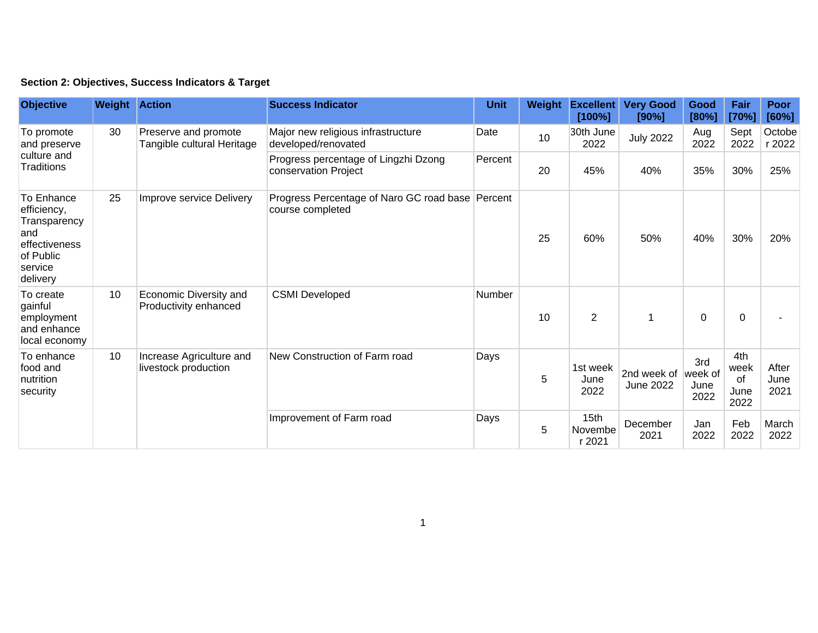|  | Section 2: Objectives, Success Indicators & Target |  |  |  |  |
|--|----------------------------------------------------|--|--|--|--|
|--|----------------------------------------------------|--|--|--|--|

| <b>Objective</b>                                                                                      | <b>Weight Action</b> |                                                    | <b>Success Indicator</b>                                             | <b>Unit</b> | Weight | <b>Excellent</b><br>[100%]            | <b>Very Good</b><br>[90%] | Good<br>[80%]                  | Fair<br>[70%]                     | <b>Poor</b><br>[60%]  |
|-------------------------------------------------------------------------------------------------------|----------------------|----------------------------------------------------|----------------------------------------------------------------------|-------------|--------|---------------------------------------|---------------------------|--------------------------------|-----------------------------------|-----------------------|
| To promote<br>and preserve<br>culture and<br>Traditions                                               | 30                   | Preserve and promote<br>Tangible cultural Heritage | Major new religious infrastructure<br>developed/renovated            | Date        | 10     | 30th June<br>2022                     | <b>July 2022</b>          | Aug<br>2022                    | Sept<br>2022                      | Octobe<br>r 2022      |
|                                                                                                       |                      |                                                    | Progress percentage of Lingzhi Dzong<br>conservation Project         | Percent     | 20     | 45%                                   | 40%                       | 35%                            | 30%                               | 25%                   |
| To Enhance<br>efficiency,<br>Transparency<br>and<br>effectiveness<br>of Public<br>service<br>delivery | 25                   | Improve service Delivery                           | Progress Percentage of Naro GC road base Percent<br>course completed |             | 25     | 60%                                   | 50%                       | 40%                            | 30%                               | 20%                   |
| To create<br>gainful<br>employment<br>and enhance<br>local economy                                    | 10                   | Economic Diversity and<br>Productivity enhanced    | <b>CSMI Developed</b>                                                | Number      | 10     | $\overline{2}$                        | 1                         | 0                              | 0                                 |                       |
| To enhance<br>food and<br>nutrition<br>security                                                       | 10                   | Increase Agriculture and<br>livestock production   | New Construction of Farm road                                        | Days        | 5      | 1st week<br>June<br>2022              | 2nd week of<br>June 2022  | 3rd<br>week of<br>June<br>2022 | 4th<br>week<br>of<br>June<br>2022 | After<br>June<br>2021 |
|                                                                                                       |                      |                                                    | Improvement of Farm road                                             | Days        | 5      | 15 <sub>th</sub><br>Novembe<br>r 2021 | December<br>2021          | Jan<br>2022                    | Feb<br>2022                       | March<br>2022         |